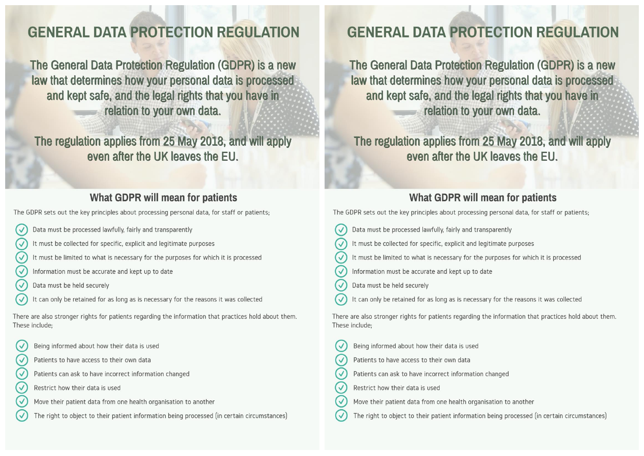# **GENERAL DATA PROTECTION REGULATION**

The General Data Protection Regulation (GDPR) is a new law that determines how your personal data is processed and kept safe, and the legal rights that you have in relation to your own data.

The regulation applies from 25 May 2018, and will apply even after the UK leaves the FU.

## What GDPR will mean for patients

The GDPR sets out the key principles about processing personal data, for staff or patients;

- Data must be processed lawfully, fairly and transparently  $\overline{\vee}$
- $\overline{v}$ It must be collected for specific, explicit and legitimate purposes
- It must be limited to what is necessary for the purposes for which it is processed
- Information must be accurate and kept up to date
- Data must be held securely
- It can only be retained for as long as is necessary for the reasons it was collected

There are also stronger rights for patients regarding the information that practices hold about them. These include:

- Being informed about how their data is used
- $\overline{\vee}$ Patients to have access to their own data
	- Patients can ask to have incorrect information changed
- Restrict how their data is used
- Move their patient data from one health organisation to another
- The right to object to their patient information being processed (in certain circumstances)

# **GENERAL DATA PROTECTION REGULATION**

The General Data Protection Regulation (GDPR) is a new law that determines how your personal data is processed and kept safe, and the legal rights that you have in relation to your own data.

The regulation applies from 25 May 2018, and will apply even after the UK leaves the FU.

## What GDPR will mean for patients

The GDPR sets out the key principles about processing personal data, for staff or patients;

- $\overline{\mathsf{C}}$ Data must be processed lawfully, fairly and transparently
- $\overline{\vee}$ It must be collected for specific, explicit and legitimate purposes
- $\checkmark$ It must be limited to what is necessary for the purposes for which it is processed
- $\overline{\vee}$ Information must be accurate and kept up to date
- $\checkmark$ Data must be held securely
- It can only be retained for as long as is necessary for the reasons it was collected

There are also stronger rights for patients regarding the information that practices hold about them. These include:

- Being informed about how their data is used  $\overline{\vee}$
- $\overline{\mathcal{A}}$ Patients to have access to their own data
- $\overline{\vee}$ Patients can ask to have incorrect information changed
- (√ Restrict how their data is used
- $\overline{\vee}$ Move their patient data from one health organisation to another
- The right to object to their patient information being processed (in certain circumstances)